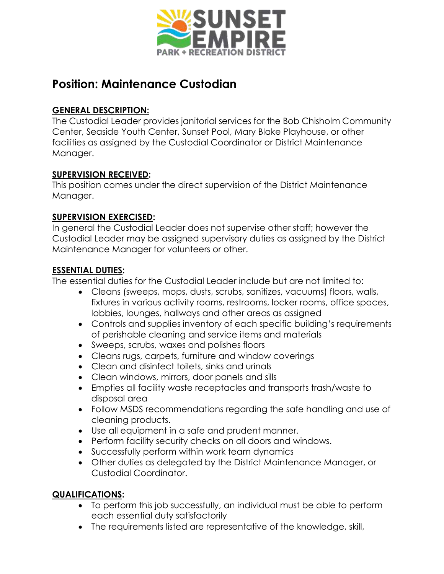

# **Position: Maintenance Custodian**

# **GENERAL DESCRIPTION:**

The Custodial Leader provides janitorial services for the Bob Chisholm Community Center, Seaside Youth Center, Sunset Pool, Mary Blake Playhouse, or other facilities as assigned by the Custodial Coordinator or District Maintenance Manager.

#### **SUPERVISION RECEIVED:**

This position comes under the direct supervision of the District Maintenance Manager.

### **SUPERVISION EXERCISED:**

In general the Custodial Leader does not supervise other staff; however the Custodial Leader may be assigned supervisory duties as assigned by the District Maintenance Manager for volunteers or other.

### **ESSENTIAL DUTIES:**

The essential duties for the Custodial Leader include but are not limited to:

- Cleans (sweeps, mops, dusts, scrubs, sanitizes, vacuums) floors, walls, fixtures in various activity rooms, restrooms, locker rooms, office spaces, lobbies, lounges, hallways and other areas as assigned
- Controls and supplies inventory of each specific building's requirements of perishable cleaning and service items and materials
- Sweeps, scrubs, waxes and polishes floors
- Cleans rugs, carpets, furniture and window coverings
- Clean and disinfect toilets, sinks and urinals
- Clean windows, mirrors, door panels and sills
- Empties all facility waste receptacles and transports trash/waste to disposal area
- Follow MSDS recommendations regarding the safe handling and use of cleaning products.
- Use all equipment in a safe and prudent manner.
- Perform facility security checks on all doors and windows.
- Successfully perform within work team dynamics
- Other duties as delegated by the District Maintenance Manager, or Custodial Coordinator.

# **QUALIFICATIONS:**

- To perform this job successfully, an individual must be able to perform each essential duty satisfactorily
- The requirements listed are representative of the knowledge, skill,